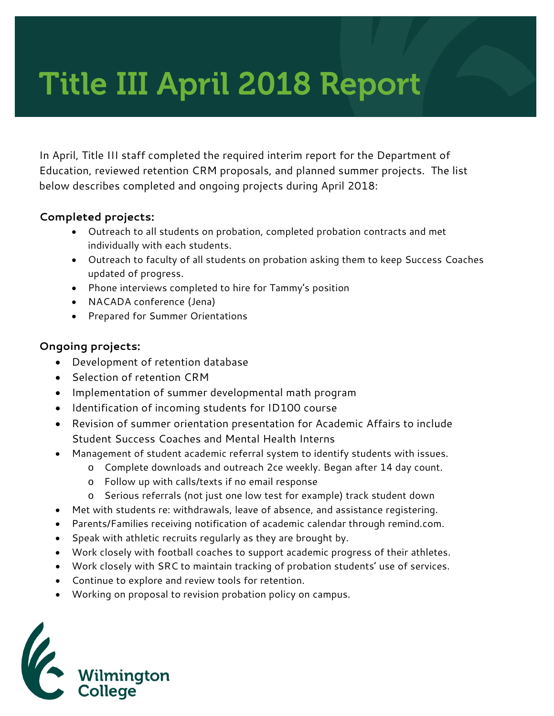# Title III April 2018 Report

In April, Title III staff completed the required interim report for the Department of Education, reviewed retention CRM proposals, and planned summer projects. The list below describes completed and ongoing projects during April 2018:

### **Completed projects:**

- Outreach to all students on probation, completed probation contracts and met individually with each students.
- Outreach to faculty of all students on probation asking them to keep Success Coaches updated of progress.
- Phone interviews completed to hire for Tammy's position
- NACADA conference (Jena)
- Prepared for Summer Orientations

### **Ongoing projects:**

- Development of retention database
- Selection of retention CRM
- Implementation of summer developmental math program
- Identification of incoming students for ID100 course
- Revision of summer orientation presentation for Academic Affairs to include Student Success Coaches and Mental Health Interns
- Management of student academic referral system to identify students with issues.
	- o Complete downloads and outreach 2ce weekly. Began after 14 day count.
	- o Follow up with calls/texts if no email response
	- o Serious referrals (not just one low test for example) track student down
- Met with students re: withdrawals, leave of absence, and assistance registering.
- Parents/Families receiving notification of academic calendar through remind.com.
- Speak with athletic recruits regularly as they are brought by.
- Work closely with football coaches to support academic progress of their athletes.
- Work closely with SRC to maintain tracking of probation students' use of services.
- Continue to explore and review tools for retention.
- Working on proposal to revision probation policy on campus.

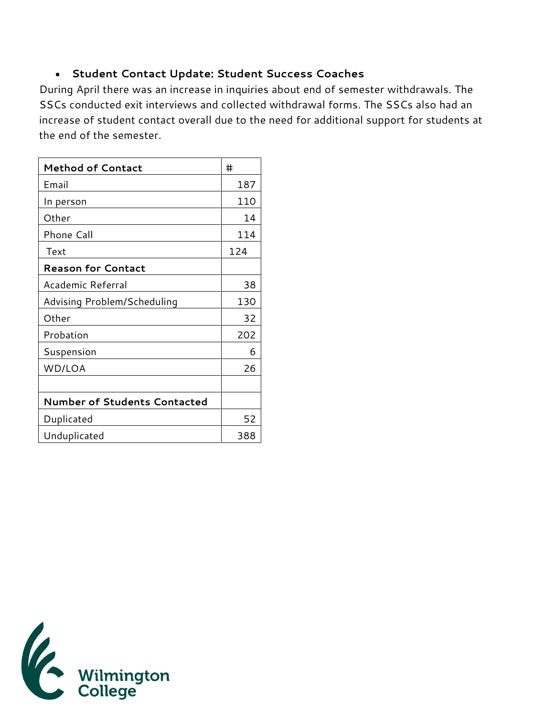## • **Student Contact Update: Student Success Coaches**

During April there was an increase in inquiries about end of semester withdrawals. The SSCs conducted exit interviews and collected withdrawal forms. The SSCs also had an increase of student contact overall due to the need for additional support for students at the end of the semester.

| <b>Method of Contact</b>            | #   |
|-------------------------------------|-----|
| Email                               | 187 |
| In person                           | 110 |
| Other                               | 14  |
| Phone Call                          | 114 |
| Text                                | 124 |
| <b>Reason for Contact</b>           |     |
| Academic Referral                   | 38  |
| Advising Problem/Scheduling         | 130 |
| Other                               | 32  |
| Probation                           | 202 |
| Suspension                          | 6   |
| WD/LOA                              | 26  |
|                                     |     |
| <b>Number of Students Contacted</b> |     |
| Duplicated                          | 52  |
| Unduplicated                        | 388 |